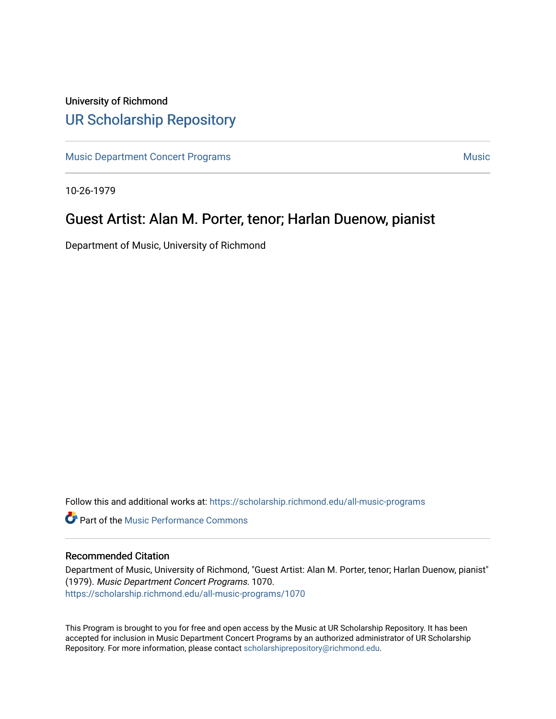## University of Richmond [UR Scholarship Repository](https://scholarship.richmond.edu/)

[Music Department Concert Programs](https://scholarship.richmond.edu/all-music-programs) [Music](https://scholarship.richmond.edu/music) Number of American American Music Number of American Music Number of American American American Music Number of American American American American American American American America

10-26-1979

## Guest Artist: Alan M. Porter, tenor; Harlan Duenow, pianist

Department of Music, University of Richmond

Follow this and additional works at: [https://scholarship.richmond.edu/all-music-programs](https://scholarship.richmond.edu/all-music-programs?utm_source=scholarship.richmond.edu%2Fall-music-programs%2F1070&utm_medium=PDF&utm_campaign=PDFCoverPages)

**C** Part of the [Music Performance Commons](https://network.bepress.com/hgg/discipline/1128?utm_source=scholarship.richmond.edu%2Fall-music-programs%2F1070&utm_medium=PDF&utm_campaign=PDFCoverPages)

## Recommended Citation

Department of Music, University of Richmond, "Guest Artist: Alan M. Porter, tenor; Harlan Duenow, pianist" (1979). Music Department Concert Programs. 1070. [https://scholarship.richmond.edu/all-music-programs/1070](https://scholarship.richmond.edu/all-music-programs/1070?utm_source=scholarship.richmond.edu%2Fall-music-programs%2F1070&utm_medium=PDF&utm_campaign=PDFCoverPages)

This Program is brought to you for free and open access by the Music at UR Scholarship Repository. It has been accepted for inclusion in Music Department Concert Programs by an authorized administrator of UR Scholarship Repository. For more information, please contact [scholarshiprepository@richmond.edu](mailto:scholarshiprepository@richmond.edu).